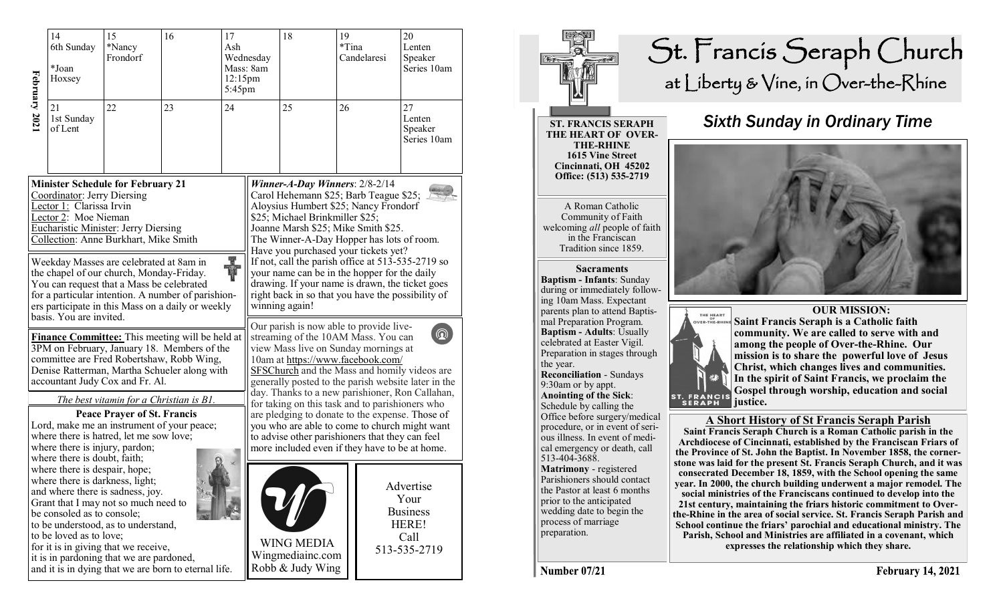|                                                                                                                                                                                                                                                                                                                  | 14<br>6th Sunday<br>*Joan<br>Hoxsey                                                                                                                       | 15<br>*Nancy<br>Frondorf                                                                                                                                                                            | 16                                                                                                      | 17<br>Ash<br>12:15pm<br>5:45pm | Wednesday<br>Mass: 8am                                                                                                                                                                                                                                                                                                                  | 18                                                                                                                                                                                                                                     | 19<br>*Tina | Candelaresi | 20<br>Lenten<br>Speaker<br>Series 10am                                |  |
|------------------------------------------------------------------------------------------------------------------------------------------------------------------------------------------------------------------------------------------------------------------------------------------------------------------|-----------------------------------------------------------------------------------------------------------------------------------------------------------|-----------------------------------------------------------------------------------------------------------------------------------------------------------------------------------------------------|---------------------------------------------------------------------------------------------------------|--------------------------------|-----------------------------------------------------------------------------------------------------------------------------------------------------------------------------------------------------------------------------------------------------------------------------------------------------------------------------------------|----------------------------------------------------------------------------------------------------------------------------------------------------------------------------------------------------------------------------------------|-------------|-------------|-----------------------------------------------------------------------|--|
| February 202                                                                                                                                                                                                                                                                                                     | 21<br>1st Sunday<br>of Lent                                                                                                                               | 22<br>23                                                                                                                                                                                            |                                                                                                         | 24                             |                                                                                                                                                                                                                                                                                                                                         | 25                                                                                                                                                                                                                                     | 26          |             | 27<br>Lenten<br>Speaker<br>Series 10am                                |  |
| <b>Minister Schedule for February 21</b><br>Coordinator: Jerry Diersing<br>Lector 1: Clarissa Irvin<br>Lector 2: Moe Nieman<br><b>Eucharistic Minister: Jerry Diersing</b><br>Collection: Anne Burkhart, Mike Smith<br>H.<br>Weekday Masses are celebrated at 8am in<br>the chapel of our church, Monday-Friday. |                                                                                                                                                           |                                                                                                                                                                                                     |                                                                                                         |                                | Winner-A-Day Winners: $2/8-2/14$<br>Carol Hehemann \$25; Barb Teague \$25;<br>Aloysius Humbert \$25; Nancy Frondorf<br>\$25; Michael Brinkmiller \$25;<br>Joanne Marsh \$25; Mike Smith \$25.<br>The Winner-A-Day Hopper has lots of room.<br>Have you purchased your tickets yet?<br>If not, call the parish office at 513-535-2719 so |                                                                                                                                                                                                                                        |             |             |                                                                       |  |
|                                                                                                                                                                                                                                                                                                                  | basis. You are invited.                                                                                                                                   | You can request that a Mass be celebrated                                                                                                                                                           | for a particular intention. A number of parishion-<br>ers participate in this Mass on a daily or weekly |                                |                                                                                                                                                                                                                                                                                                                                         | your name can be in the hopper for the daily<br>drawing. If your name is drawn, the ticket goes<br>right back in so that you have the possibility of<br>winning again!<br>Our parish is now able to provide live-                      |             |             |                                                                       |  |
| Finance Committee: This meeting will be held at<br>3PM on February, January 18. Members of the<br>committee are Fred Robertshaw, Robb Wing,<br>Denise Ratterman, Martha Schueler along with<br>accountant Judy Cox and Fr. Al.                                                                                   |                                                                                                                                                           |                                                                                                                                                                                                     |                                                                                                         |                                |                                                                                                                                                                                                                                                                                                                                         | $\circledR$<br>streaming of the 10AM Mass. You can<br>view Mass live on Sunday mornings at<br>10am at https://www.facebook.com/<br>SFSChurch and the Mass and homily videos are<br>generally posted to the parish website later in the |             |             |                                                                       |  |
| The best vitamin for a Christian is B1.<br><b>Peace Prayer of St. Francis</b><br>Lord, make me an instrument of your peace;<br>where there is hatred, let me sow love;<br>where there is injury, pardon;                                                                                                         |                                                                                                                                                           |                                                                                                                                                                                                     |                                                                                                         |                                | day. Thanks to a new parishioner, Ron Callahan,<br>for taking on this task and to parishioners who<br>are pledging to donate to the expense. Those of<br>you who are able to come to church might want<br>to advise other parishioners that they can feel<br>more included even if they have to be at home.                             |                                                                                                                                                                                                                                        |             |             |                                                                       |  |
|                                                                                                                                                                                                                                                                                                                  | where there is doubt, faith;<br>where there is despair, hope;<br>where there is darkness, light;<br>be consoled as to console;<br>to be loved as to love; | and where there is sadness, joy.<br>Grant that I may not so much need to<br>to be understood, as to understand,<br>for it is in giving that we receive,<br>it is in pardoning that we are pardoned, | and it is in dying that we are born to eternal life.                                                    |                                |                                                                                                                                                                                                                                                                                                                                         | <b>WING MEDIA</b><br>Wingmediainc.com<br>Robb & Judy Wing                                                                                                                                                                              |             |             | Advertise<br>Your<br><b>Business</b><br>HERE!<br>Call<br>513-535-2719 |  |